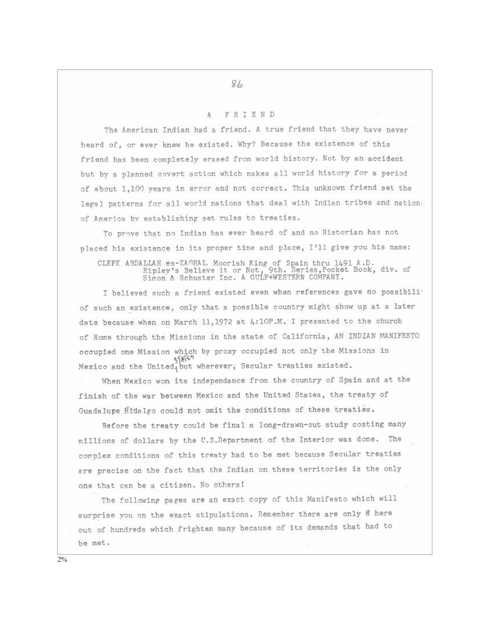## 84

## FRIEND  $\Lambda$

The American Indian had a friend. A true friend that they have never heard of, or ever knew he existed. Why? Because the existence of this friend has been completely erased from world history. Not by an accident but by a planned covert action which makes all world history for a period of about 1,100 years in error and not correct. This unknown friend set the legal patterns for all world nations that deal with Indian tribes and nation: of America by establishing set rules to treaties.

To prove that no Indian has ever heard of and no Historian has not placed his existence in its proper time and place, I'll give you his name:

CLEFE ABDALLAH es-ZAGHAL Moorish King of Spain thru 1491 A.D.<br>Ripley's Believe it or Not, 9th. Series, Pocket Book, div. of<br>Simon & Schuster Inc. A GULF+WESTERN COMPANY.

I believed such a friend existed even when references gave no possibili<sup>-</sup> of such an existence, only that a possible country might show up at a later date because when on March 11, 1972 at 4:10P.M. I presented to the church of Rome through the Missions in the state of California, AN INDIAN MANIFESTO occupied one Mission which by proxy occupied not only the Missions in Mexico and the United, but wherever, Secular treaties existed.

When Mexico won its independance from the country of Spain and at the finish of the war between Mexico and the United States, the treaty of Guadalupe Hidalgo could not omit the conditions of these treaties.

Before the treaty could be final a long-drawn-out study costing many millions of dollars by the U.S.Department of the Interior was done. The complex conditions of this treaty had to be met because Secular treaties are precise on the fact that the Indian on these territories is the only one that can be a citizen. No others!

The following pages are an exact copy of this Manifesto which will surprise you on the exact stipulations. Remember there are only 8 here out of hundreds which frighten many because of its demands that had to be met.